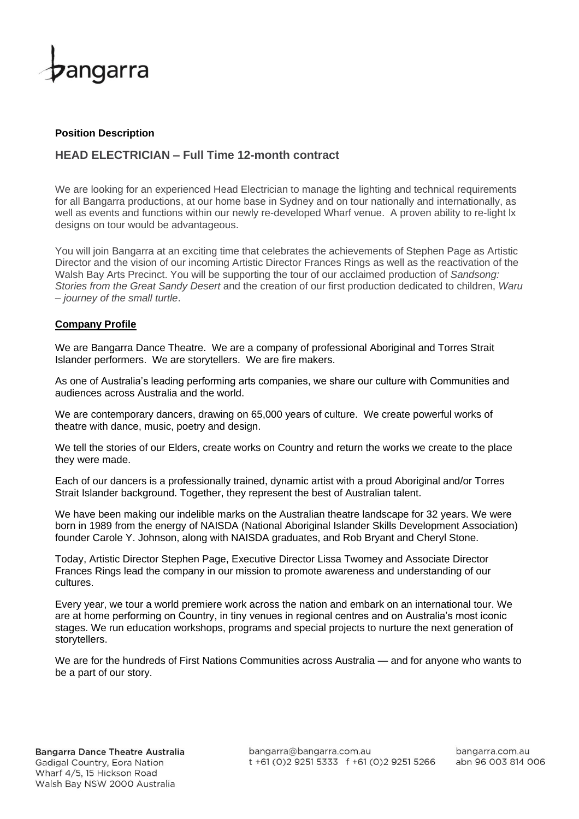

### **Position Description**

# **HEAD ELECTRICIAN – Full Time 12-month contract**

We are looking for an experienced Head Electrician to manage the lighting and technical requirements for all Bangarra productions, at our home base in Sydney and on tour nationally and internationally, as well as events and functions within our newly re-developed Wharf venue. A proven ability to re-light lx designs on tour would be advantageous.

You will join Bangarra at an exciting time that celebrates the achievements of Stephen Page as Artistic Director and the vision of our incoming Artistic Director Frances Rings as well as the reactivation of the Walsh Bay Arts Precinct. You will be supporting the tour of our acclaimed production of *Sandsong: Stories from the Great Sandy Desert* and the creation of our first production dedicated to children, *Waru – journey of the small turtle*.

## **Company Profile**

We are Bangarra Dance Theatre. We are a company of professional Aboriginal and Torres Strait Islander performers. We are storytellers. We are fire makers.

As one of Australia's leading performing arts companies, we share our culture with Communities and audiences across Australia and the world.

We are contemporary dancers, drawing on 65,000 years of culture. We create powerful works of theatre with dance, music, poetry and design.

We tell the stories of our Elders, create works on Country and return the works we create to the place they were made.

Each of our dancers is a professionally trained, dynamic artist with a proud Aboriginal and/or Torres Strait Islander background. Together, they represent the best of Australian talent.

We have been making our indelible marks on the Australian theatre landscape for 32 years. We were born in 1989 from the energy of NAISDA (National Aboriginal Islander Skills Development Association) founder Carole Y. Johnson, along with NAISDA graduates, and Rob Bryant and Cheryl Stone.

Today, Artistic Director Stephen Page, Executive Director Lissa Twomey and Associate Director Frances Rings lead the company in our mission to promote awareness and understanding of our cultures.

Every year, we tour a world premiere work across the nation and embark on an international tour. We are at home performing on Country, in tiny venues in regional centres and on Australia's most iconic stages. We run education workshops, programs and special projects to nurture the next generation of storytellers.

We are for the hundreds of First Nations Communities across Australia — and for anyone who wants to be a part of our story.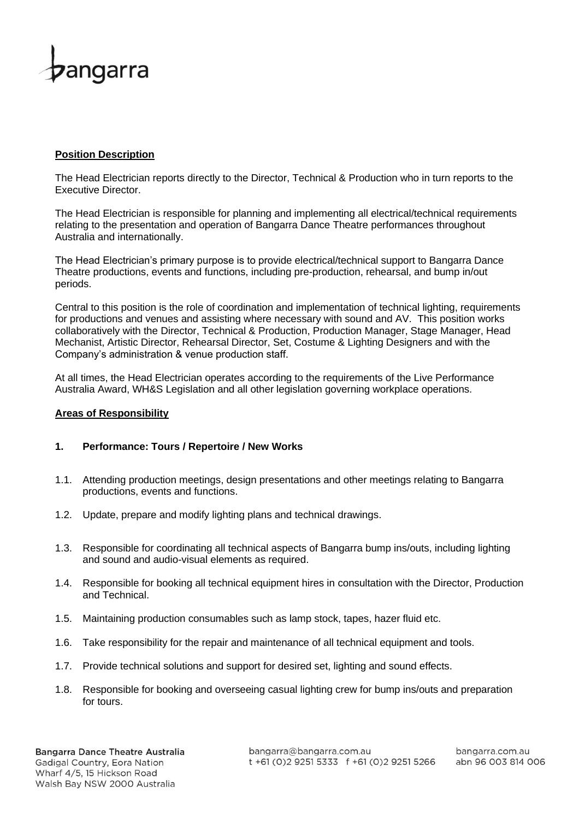

### **Position Description**

The Head Electrician reports directly to the Director, Technical & Production who in turn reports to the Executive Director.

The Head Electrician is responsible for planning and implementing all electrical/technical requirements relating to the presentation and operation of Bangarra Dance Theatre performances throughout Australia and internationally.

The Head Electrician's primary purpose is to provide electrical/technical support to Bangarra Dance Theatre productions, events and functions, including pre-production, rehearsal, and bump in/out periods.

Central to this position is the role of coordination and implementation of technical lighting, requirements for productions and venues and assisting where necessary with sound and AV. This position works collaboratively with the Director, Technical & Production, Production Manager, Stage Manager, Head Mechanist, Artistic Director, Rehearsal Director, Set, Costume & Lighting Designers and with the Company's administration & venue production staff.

At all times, the Head Electrician operates according to the requirements of the Live Performance Australia Award, WH&S Legislation and all other legislation governing workplace operations.

### **Areas of Responsibility**

### **1. Performance: Tours / Repertoire / New Works**

- 1.1. Attending production meetings, design presentations and other meetings relating to Bangarra productions, events and functions.
- 1.2. Update, prepare and modify lighting plans and technical drawings.
- 1.3. Responsible for coordinating all technical aspects of Bangarra bump ins/outs, including lighting and sound and audio-visual elements as required.
- 1.4. Responsible for booking all technical equipment hires in consultation with the Director, Production and Technical.
- 1.5. Maintaining production consumables such as lamp stock, tapes, hazer fluid etc.
- 1.6. Take responsibility for the repair and maintenance of all technical equipment and tools.
- 1.7. Provide technical solutions and support for desired set, lighting and sound effects.
- 1.8. Responsible for booking and overseeing casual lighting crew for bump ins/outs and preparation for tours.